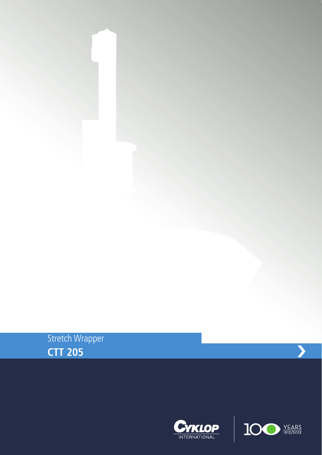